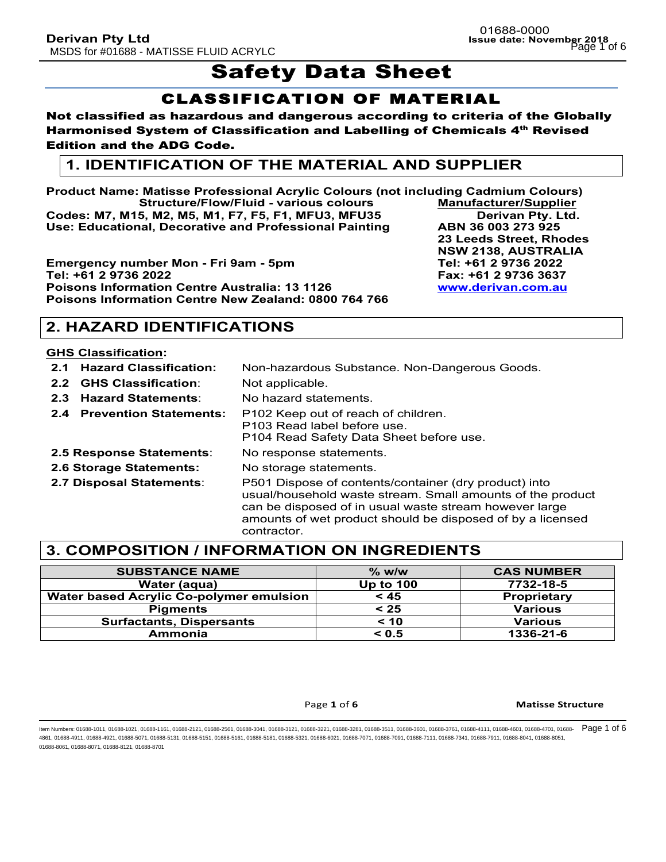# **Safety Data Sheet**

## CLASSIFICATION OF MATERIAL

#### Not classified as hazardous and dangerous according to criteria of the Globally Harmonised System of Classification and Labelling of Chemicals 4<sup>th</sup> Revised Edition and the ADG Code.

## **1. IDENTIFICATION OF THE MATERIAL AND SUPPLIER**

**Product Name: Matisse Professional Acrylic Colours (not including Cadmium Colours) Structure/Flow/Fluid - various colours Manufacturer/Supplier Codes: M7, M15, M2, M5, M1, F7, F5, F1, MFU3, MFU35 Derivan Pty. Ltd. Use: Educational, Decorative and Professional Painting ABN 36 003 273 925**

**Emergency number Mon - Fri 9am - 5pm Tel: +61 2 9736 2022 Tel: +61 2 9736 2022 Fax: +61 2 9736 3637 Poisons Information Centre Australia: 13 1126 www.derivan.com.au Poisons Information Centre New Zealand: 0800 764 766**

## **2. HAZARD IDENTIFICATIONS**

#### **GHS Classification:**

- **2.1 Hazard Classification:** Non-hazardous Substance. Non-Dangerous Goods. **2.2 GHS Classification**: Not applicable.
- **2.3 Hazard Statements**: No hazard statements.
- **2.4 Prevention Statements:** P102 Keep out of reach of children.
	- P103 Read label before use.
		- P104 Read Safety Data Sheet before use.
- **2.5 Response Statements**: No response statements.
- **2.6 Storage Statements:** No storage statements.
- 
- **2.7 Disposal Statements**: P501 Dispose of contents/container (dry product) into

usual/household waste stream. Small amounts of the product can be disposed of in usual waste stream however large amounts of wet product should be disposed of by a licensed contractor.

## **3. COMPOSITION / INFORMATION ON INGREDIENTS**

| <b>SUBSTANCE NAME</b>                          | $\%$ w/w         | <b>CAS NUMBER</b>  |
|------------------------------------------------|------------------|--------------------|
| Water (aqua)                                   | <b>Up to 100</b> | 7732-18-5          |
| <b>Water based Acrylic Co-polymer emulsion</b> | < 45             | <b>Proprietary</b> |
| <b>Pigments</b>                                | < 25             | <b>Various</b>     |
| <b>Surfactants, Dispersants</b>                | < 10             | <b>Various</b>     |
| Ammonia                                        | < 0.5            | 1336-21-6          |

#### Page 1 of 6 **Matisse Structure**

ltem Numbers: 01688-1011, 01688-1021, 01688-1161, 01688-2121, 01688-2561, 01688-3041, 01688-3211, 01688-3281, 01688-3511, 01688-3761, 01688-3761, 01688-4711, 01688-4601, 01688-4701, 01688-4701, 01688-4701, 01688-4701, 0168 4861, 01688-4911, 01688-4921, 01688-5071, 01688-5131, 01688-5151, 01688-5161, 01688-5181, 01688-5321, 01688-6021, 01688-7071, 01688-7091, 01688-7111, 01688-7341, 01688-7911, 01688-8041, 01688-8051, 01688-8061, 01688-8071, 01688-8121, 01688-8701

**23 Leeds Street, Rhodes NSW 2138, AUSTRALIA**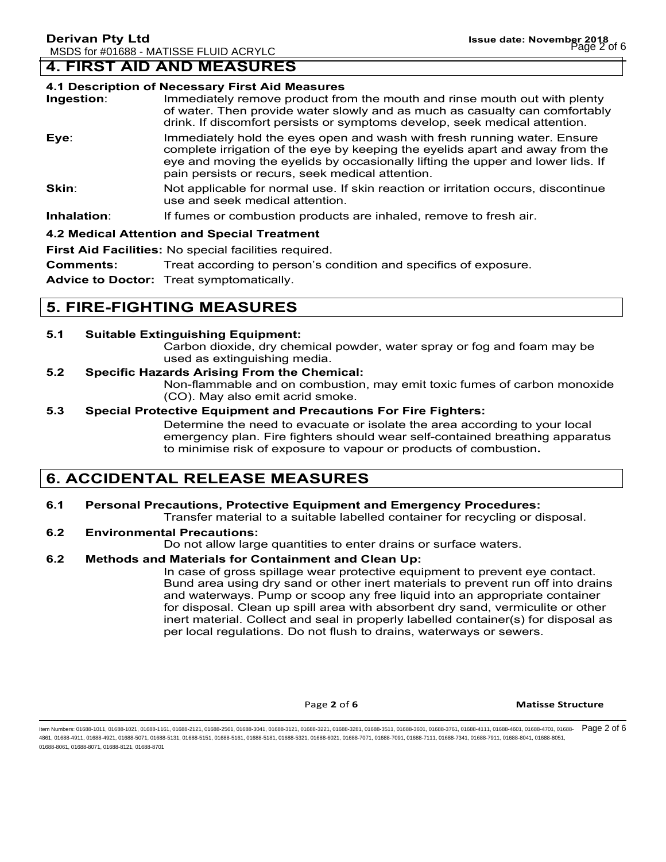## **4. FIRST AID AND MEASURES**

#### **4.1 Description of Necessary First Aid Measures**

| Ingestion: | Immediately remove product from the mouth and rinse mouth out with plenty<br>of water. Then provide water slowly and as much as casualty can comfortably<br>drink. If discomfort persists or symptoms develop, seek medical attention.                                                           |
|------------|--------------------------------------------------------------------------------------------------------------------------------------------------------------------------------------------------------------------------------------------------------------------------------------------------|
| Eye:       | Immediately hold the eyes open and wash with fresh running water. Ensure<br>complete irrigation of the eye by keeping the eyelids apart and away from the<br>eye and moving the eyelids by occasionally lifting the upper and lower lids. If<br>pain persists or recurs, seek medical attention. |
| Skin:      | Not applicable for normal use. If skin reaction or irritation occurs, discontinue<br>use and seek medical attention.                                                                                                                                                                             |
| .          |                                                                                                                                                                                                                                                                                                  |

#### **Inhalation:** If fumes or combustion products are inhaled, remove to fresh air.

#### **4.2 Medical Attention and Special Treatment**

**First Aid Facilities:** No special facilities required.

**Comments:** Treat according to person's condition and specifics of exposure.

**Advice to Doctor:** Treat symptomatically.

## **5. FIRE-FIGHTING MEASURES**

#### **5.1 Suitable Extinguishing Equipment:**

Carbon dioxide, dry chemical powder, water spray or fog and foam may be used as extinguishing media.

#### **5.2 Specific Hazards Arising From the Chemical:**

Non-flammable and on combustion, may emit toxic fumes of carbon monoxide (CO). May also emit acrid smoke.

#### **5.3 Special Protective Equipment and Precautions For Fire Fighters:**

Determine the need to evacuate or isolate the area according to your local emergency plan. Fire fighters should wear self-contained breathing apparatus to minimise risk of exposure to vapour or products of combustion**.**

## **6. ACCIDENTAL RELEASE MEASURES**

## **6.1 Personal Precautions, Protective Equipment and Emergency Procedures:**

Transfer material to a suitable labelled container for recycling or disposal.

#### **6.2 Environmental Precautions:**

Do not allow large quantities to enter drains or surface waters.

#### **6.2 Methods and Materials for Containment and Clean Up:**

In case of gross spillage wear protective equipment to prevent eye contact. Bund area using dry sand or other inert materials to prevent run off into drains and waterways. Pump or scoop any free liquid into an appropriate container for disposal. Clean up spill area with absorbent dry sand, vermiculite or other inert material. Collect and seal in properly labelled container(s) for disposal as per local regulations. Do not flush to drains, waterways or sewers.

**Page 2** of 6 **Matisse Structure** 

ltem Numbers: 01688-1011, 01688-1021, 01688-1161, 01688-2121, 01688-2561, 01688-3041, 01688-3211, 01688-3281, 01688-3511, 01688-3761, 01688-3761, 01688-4711, 01688-4601, 01688-4701, 01688-4701, 01688-4701, 01688-4701, 0168 4861, 01688-4911, 01688-4921, 01688-5071, 01688-5131, 01688-5151, 01688-5161, 01688-5181, 01688-5321, 01688-6021, 01688-7071, 01688-7091, 01688-7111, 01688-7341, 01688-7911, 01688-8041, 01688-8051, 01688-8061, 01688-8071, 01688-8121, 01688-8701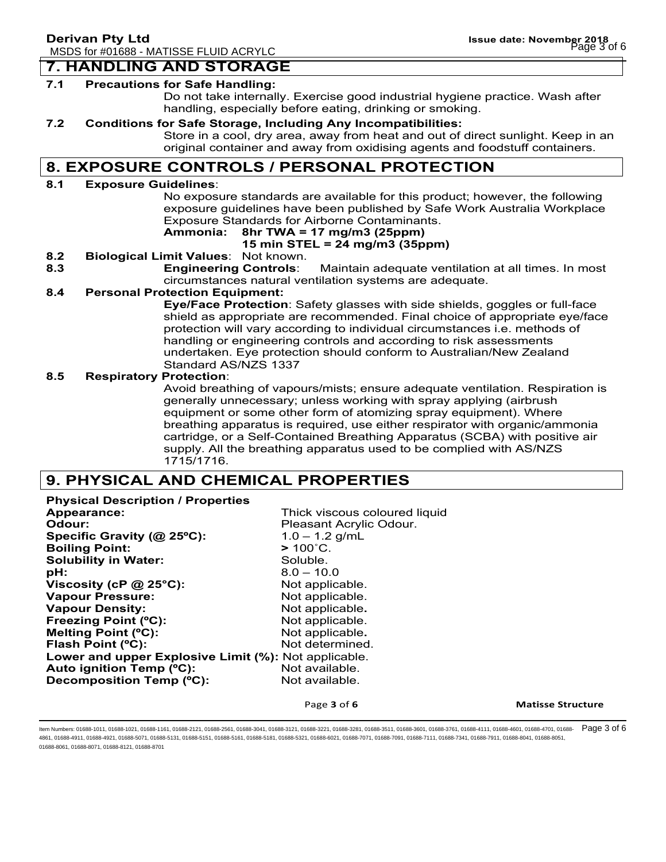#### **7. HANDLING AND STORAGE**

#### **7.1 Precautions for Safe Handling:**

Do not take internally. Exercise good industrial hygiene practice. Wash after handling, especially before eating, drinking or smoking.

#### **7.2 Conditions for Safe Storage, Including Any Incompatibilities:**

Store in a cool, dry area, away from heat and out of direct sunlight. Keep in an original container and away from oxidising agents and foodstuff containers.

## **8. EXPOSURE CONTROLS / PERSONAL PROTECTION**

#### **8.1 Exposure Guidelines**:

No exposure standards are available for this product; however, the following exposure guidelines have been published by Safe Work Australia Workplace Exposure Standards for Airborne Contaminants.

### **Ammonia: 8hr TWA = 17 mg/m3 (25ppm)**

#### **15 min STEL = 24 mg/m3 (35ppm)**

- **8.2 Biological Limit Values**: Not known.
- **8.3 Engineering Controls**: Maintain adequate ventilation at all times. In most circumstances natural ventilation systems are adequate.

#### **8.4 Personal Protection Equipment:**

**Eye/Face Protection**: Safety glasses with side shields, goggles or full-face shield as appropriate are recommended. Final choice of appropriate eye/face protection will vary according to individual circumstances i.e. methods of handling or engineering controls and according to risk assessments undertaken. Eye protection should conform to Australian/New Zealand Standard AS/NZS 1337

#### **8.5 Respiratory Protection**:

Avoid breathing of vapours/mists; ensure adequate ventilation. Respiration is generally unnecessary; unless working with spray applying (airbrush equipment or some other form of atomizing spray equipment). Where breathing apparatus is required, use either respirator with organic/ammonia cartridge, or a Self-Contained Breathing Apparatus (SCBA) with positive air supply. All the breathing apparatus used to be complied with AS/NZS 1715/1716.

## **9. PHYSICAL AND CHEMICAL PROPERTIES**

**Physical Description / Properties Appearance:** Thick viscous coloured liquid **Odour: Pleasant Acrylic Odour. Specific Gravity (@ 25ºC):** 1.0 – 1.2 g/mL **Boiling Point: >** 100˚C. **Solubility in Water:** Soluble. **pH:** 8.0 – 10.0 **Viscosity (cP @ 25°C):** Not applicable. **Vapour Pressure:** Not applicable. **Vapour Density:** Not applicable. **Freezing Point (°C):** Not applicable. **Melting Point (°C):** Not applicable. **Flash Point (°C):** Not determined. **Lower and upper Explosive Limit (%):** Not applicable. Auto ignition Temp (°C): Not available. **Decomposition Temp (°C):** Not available.

Page 3 of 6 **Matisse Structure** 

ltem Numbers: 01688-1011, 01688-1021, 01688-1161, 01688-2121, 01688-2561, 01688-3041, 01688-3211, 01688-3281, 01688-3511, 01688-3761, 01688-3761, 01688-4711, 01688-4601, 01688-4701, 01688-4701, 01688-4701, 01688-4701, 0168 4861, 01688-4911, 01688-4921, 01688-5071, 01688-5131, 01688-5151, 01688-5161, 01688-5181, 01688-5321, 01688-6021, 01688-7071, 01688-7091, 01688-7111, 01688-7341, 01688-7911, 01688-8041, 01688-8051, 01688-8061, 01688-8071, 01688-8121, 01688-8701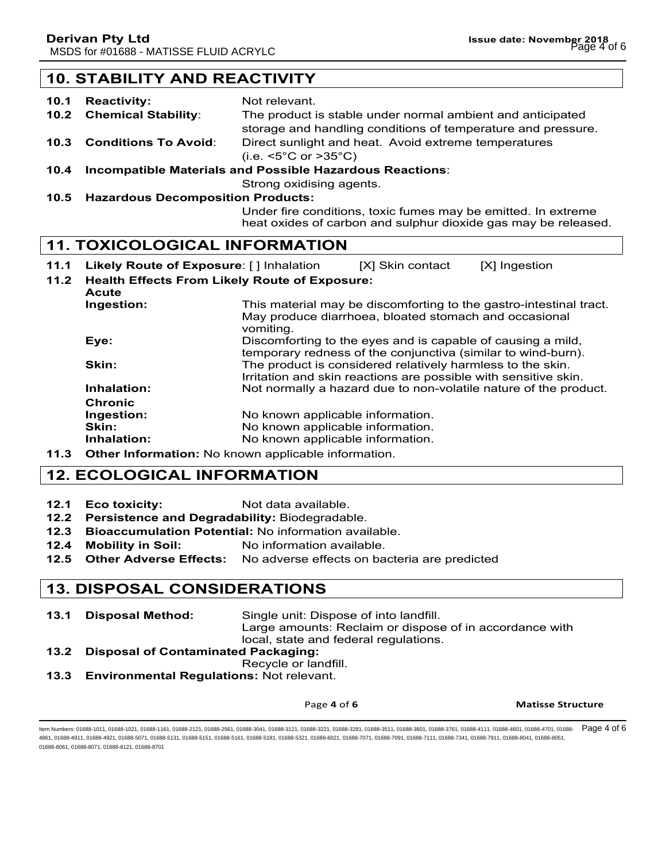## **10. STABILITY AND REACTIVITY**

- **10.1 Reactivity:** Not relevant. **10.2 Chemical Stability**: The product is stable under normal ambient and anticipated storage and handling conditions of temperature and pressure. **10.3 Conditions To Avoid**: Direct sunlight and heat. Avoid extreme temperatures (i.e. <5°C or >35°C)
- **10.4 Incompatible Materials and Possible Hazardous Reactions**:

Strong oxidising agents.

**10.5 Hazardous Decomposition Products:**

Under fire conditions, toxic fumes may be emitted. In extreme heat oxides of carbon and sulphur dioxide gas may be released.

#### **11. TOXICOLOGICAL INFORMATION**

- **11.1 Likely Route of Exposure**: [ ] Inhalation [X] Skin contact [X] Ingestion
- **11.2 Health Effects From Likely Route of Exposure:**
- **Acute Ingestion:** This material may be discomforting to the gastro-intestinal tract. May produce diarrhoea, bloated stomach and occasional vomiting. **Eye: Exercise 2.1** Discomforting to the eyes and is capable of causing a mild, temporary redness of the conjunctiva (similar to wind-burn). **Skin:** The product is considered relatively harmless to the skin. Irritation and skin reactions are possible with sensitive skin. **Inhalation:** Not normally a hazard due to non-volatile nature of the product. **Chronic Ingestion:** No known applicable information. **Skin:** No known applicable information. **Inhalation:** No known applicable information.
- **11.3 Other Information:** No known applicable information.

## **12. ECOLOGICAL INFORMATION**

- **12.1 Eco toxicity:** Not data available.
- **12.2 Persistence and Degradability:** Biodegradable.
- **12.3 Bioaccumulation Potential:** No information available.
- **12.4 Mobility in Soil:** No information available.
- **12.5 Other Adverse Effects:** No adverse effects on bacteria are predicted

## **13. DISPOSAL CONSIDERATIONS**

- **13.1 Disposal Method:** Single unit: Dispose of into landfill. Large amounts: Reclaim or dispose of in accordance with local, state and federal regulations.
- **13.2 Disposal of Contaminated Packaging:** Recycle or landfill.
- 
- **13.3 Environmental Regulations:** Not relevant.

#### Page 4 of 6 **Matisse Structure**

ltem Numbers: 01688-1011, 01688-1021, 01688-1161, 01688-2121, 01688-2561, 01688-3041, 01688-3211, 01688-3281, 01688-3511, 01688-3761, 01688-3761, 01688-4711, 01688-4601, 01688-4701, 01688-4701, 01688-4701, 01688-4701, 0168 4861, 01688-4911, 01688-4921, 01688-5071, 01688-5131, 01688-5151, 01688-5161, 01688-5181, 01688-5321, 01688-6021, 01688-7071, 01688-7091, 01688-7111, 01688-7341, 01688-7911, 01688-8041, 01688-8051, 01688-8061, 01688-8071, 01688-8121, 01688-8701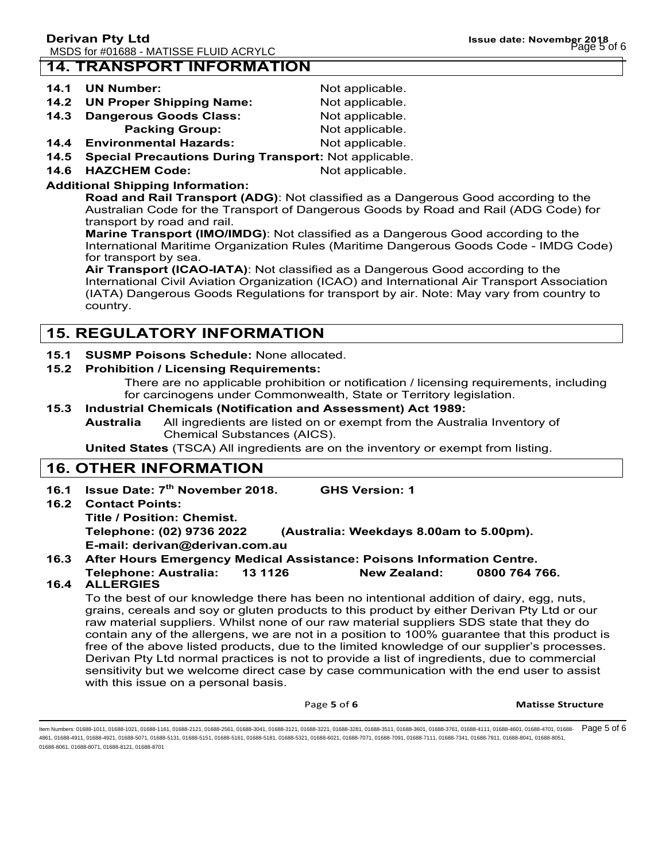## **14. TRANSPORT INFORMATION**

#### **14.1 UN Number:** Not applicable.

| . | ______________                |                 |
|---|-------------------------------|-----------------|
|   | 14.2 UN Proper Shipping Name: | Not applicable. |

- **14.3 Dangerous Goods Class: Not applicable.** 
	- **Packing Group:** Not applicable.
- **14.4 Environmental Hazards:** Not applicable.
- **14.5 Special Precautions During Transport:** Not applicable.
- **14.6 HAZCHEM Code:** Not applicable.

### **Additional Shipping Information:**

**Road and Rail Transport (ADG)**: Not classified as a Dangerous Good according to the Australian Code for the Transport of Dangerous Goods by Road and Rail (ADG Code) for transport by road and rail.

**Marine Transport (IMO/IMDG)**: Not classified as a Dangerous Good according to the International Maritime Organization Rules (Maritime Dangerous Goods Code - IMDG Code) for transport by sea.

**Air Transport (ICAO-IATA)**: Not classified as a Dangerous Good according to the International Civil Aviation Organization (ICAO) and International Air Transport Association (IATA) Dangerous Goods Regulations for transport by air. Note: May vary from country to country.

## **15. REGULATORY INFORMATION**

#### **15.1 SUSMP Poisons Schedule:** None allocated.

#### **15.2 Prohibition / Licensing Requirements:**

There are no applicable prohibition or notification / licensing requirements, including for carcinogens under Commonwealth, State or Territory legislation.

#### **15.3 Industrial Chemicals (Notification and Assessment) Act 1989:**

**Australia** All ingredients are listed on or exempt from the Australia Inventory of Chemical Substances (AICS).

**United States** (TSCA) All ingredients are on the inventory or exempt from listing.

## **16. OTHER INFORMATION**

**16.1 Issue Date: 7th November 2018. GHS Version: 1 16.2 Contact Points: Title / Position: Chemist. Telephone: (02) 9736 2022 (Australia: Weekdays 8.00am to 5.00pm).**

**E-mail: derivan@derivan.com.au**

#### **16.3 After Hours Emergency Medical Assistance: Poisons Information Centre.**

**Telephone: Australia: 13 1126 New Zealand: 0800 764 766.**

## **16.4 ALLERGIES**

To the best of our knowledge there has been no intentional addition of dairy, egg, nuts, grains, cereals and soy or gluten products to this product by either Derivan Pty Ltd or our raw material suppliers. Whilst none of our raw material suppliers SDS state that they do contain any of the allergens, we are not in a position to 100% guarantee that this product is free of the above listed products, due to the limited knowledge of our supplier's processes. Derivan Pty Ltd normal practices is not to provide a list of ingredients, due to commercial sensitivity but we welcome direct case by case communication with the end user to assist with this issue on a personal basis.

Page **5** of **6 Matisse Structure** 

ltem Numbers: 01688-1011, 01688-1021, 01688-1161, 01688-2121, 01688-2561, 01688-3041, 01688-3211, 01688-3281, 01688-3511, 01688-3761, 01688-3761, 01688-4711, 01688-4601, 01688-4701, 01688-4701, 01688-4701, 01688-4701, 0168 4861, 01688-4911, 01688-4921, 01688-5071, 01688-5131, 01688-5151, 01688-5161, 01688-5181, 01688-5321, 01688-6021, 01688-7071, 01688-7091, 01688-7111, 01688-7341, 01688-7911, 01688-8041, 01688-8051, 01688-8061, 01688-8071, 01688-8121, 01688-8701